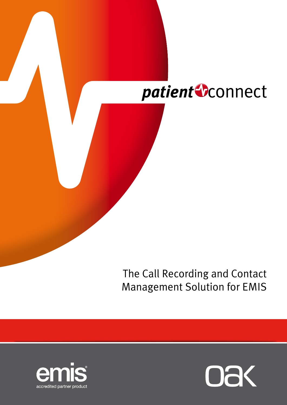

The Call Recording and Contact Management Solution for EMIS



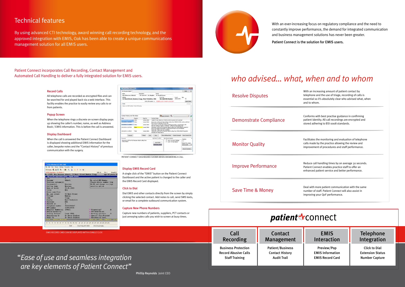Phillip Reynolds Joint CEO



## Technical features

By using advanced CTI technology, award winning call recording technology, and the approved integration with EMIS, Oak has been able to create a unique communications management solution for all EMIS users.

Patient Connect incorporates Call Recording, Contact Management and Automated Call Handling to deliver a fully integrated solution for EMIS users.

### Record Calls

All telephone calls are recorded as encrypted files and can be searched for and played back via a web interface. This facility enables the practice to easily review any calls to or from patients.

#### Popup Screen

When the telephone rings a discrete on-screen display pops up showing the caller's number, name, as well as Address Book / EMIS information. This is before the call is answered.

#### Display Dashboard

When the call is answered the Patient Connect Dashboard is displayed showing additional EMIS information for the caller, bespoke notes and the "Contact History" of previous communication with the surgery.

| 14 Y for Windows (C) 2001 EMS                               |                                                            |                                 |  |
|-------------------------------------------------------------|------------------------------------------------------------|---------------------------------|--|
| Fie Edit Hen Harrer Satings Faircates rea                   |                                                            |                                 |  |
|                                                             | <b>MNAM 5 &amp; 5 &amp; 5 &amp; V &amp; 3 H M W</b>        |                                 |  |
| mUNK Registers ( B. Alayta) B.                              |                                                            | <b>RDD-A</b><br>PALE  Ensail: N |  |
|                                                             | Mr. 12988, Mrs Mournen Abbott, SI West Street Meeton Cragg | Age 48 years 18                 |  |
| <b>Emil VS Edit Augustration Substit - Gegular Automnis</b> |                                                            |                                 |  |
| <b>Comment of the Second State</b>                          |                                                            |                                 |  |
| <b>Turnase</b>                                              | <b>Abbooks</b>                                             | No valid NHT Norber             |  |
| Province surname(s)                                         |                                                            | Please obtain number from       |  |
| Foremann(w)                                                 | <b>MISTING</b>                                             | HA-100 and change via high      |  |
| Calling name                                                | <b>MANTUMER</b>                                            | seeing ity saytion.             |  |
| Bate of hirth                                               | 25.01.1943                                                 |                                 |  |
| Title.                                                      | Marin."                                                    |                                 |  |
| House name/Flat                                             |                                                            |                                 |  |
| No. and street                                              | 53 Worth Street                                            |                                 |  |
| <b>Village</b>                                              | How ton.                                                   |                                 |  |
| Tumu.                                                       | Criers.                                                    |                                 |  |
| County                                                      | West Turkskiru                                             |                                 |  |
| Fout code                                                   | <b>TOOL</b>                                                |                                 |  |
| Records at                                                  |                                                            |                                 |  |
| Telephone number                                            | 83262281827                                                |                                 |  |
| Hill ausbor-                                                | 1109133735                                                 |                                 |  |
| Hospital Humber[8]                                          | 199651                                                     | <b>University</b>               |  |
| Health Authority.                                           |                                                            | - EPP-Road miles                |  |
| Tradied Pertner                                             | Leeds FIELA                                                | K Walking quarters.<br>в        |  |
| Requisitoring Dr                                            | Dr David Stables                                           | 'Special dist/Blocked           |  |
| I though the chairs                                         | Dr Dowld Highles                                           | Hesidential Inst.               |  |
| <b>EXPERIENCE IN AN ARTISTS</b>                             |                                                            | are the way the distance        |  |

| EMIS RECORD CARD CAN BE DISPLAYED WITH A SINGLE CLICK                         | Call<br>Recording                                                                  | Contact<br>Management                                                   |
|-------------------------------------------------------------------------------|------------------------------------------------------------------------------------|-------------------------------------------------------------------------|
| "Ease of use and seamless integration<br>are key elements of Patient Connect" | <b>Business Protection</b><br><b>Record Abusive Calls</b><br><b>Staff Training</b> | <b>Patient/Business</b><br><b>Contact History</b><br><b>Audit Trail</b> |

ith an increasing amount of patient contact by lephone and the use of triage, recording of calls is sential so it's absolutely clear who advised what, when d to whom.

#### Display EMIS Record Card

A single click of the "EMIS" button on the Patient Connect Dashboard and the active patient is changed to the caller and the EMIS Record Card displayed.

#### Click to Dial

Dial EMIS and other contacts directly from the screen by simply clicking the selected contact. Add notes to call, send SMS texts, or email for a complete outbound communication system.

#### Capture New Phone Numbers

Capture new numbers of patients, suppliers, PCT contacts or just annoying sales calls you wish to screen at busy times.

> Telephone Integration

Click to Dial Extension Status Number Capture

EMIS Interaction

Preview/Pop EMIS Information EMIS Record Card

With an ever-increasing focus on regulatory compliance and the need to constantly improve performance, the demand for integrated communication and business management solutions has never been greater.

Patient Connect is the solution for EMIS users.

| <b>Resolve Disputes</b>    | With an increasing amount of patient contact by<br>telephone and the use of triage, recording of calls is<br>essential so it's absolutely clear who advised what, w<br>and to whom. |
|----------------------------|-------------------------------------------------------------------------------------------------------------------------------------------------------------------------------------|
| Demonstrate Compliance     | Conforms with best practise guidance in confirming<br>patient identity. All call recordings are encrypted and<br>stored adhering to BSI 0008 standards.                             |
| <b>Monitor Quality</b>     | Facilitates the monitoring and evaluation of telephon<br>calls made by the practice allowing the review and<br>improvement of procedures and staff performance.                     |
| <b>Improve Performance</b> | Reduce call handling times by on average 30 seconds<br>Patient Connect enables practice staff to offer an<br>enhanced patient service and better performance.                       |
| Save Time & Money          | Deal with more patient communication with the same<br>number of staff. Patient Connect will also assist in<br>improving your QoF performance.                                       |

## patient vconnect

## *who advised… what, when and to whom*

| No Kayner Sidell                                                      |                               |                                        |                                                                                                                                                                                                                                                                                                                                                                                                     |                                                                           |                                                         | <b>DISCOVER</b>                                                                   |  |
|-----------------------------------------------------------------------|-------------------------------|----------------------------------------|-----------------------------------------------------------------------------------------------------------------------------------------------------------------------------------------------------------------------------------------------------------------------------------------------------------------------------------------------------------------------------------------------------|---------------------------------------------------------------------------|---------------------------------------------------------|-----------------------------------------------------------------------------------|--|
| Transit<br><b>Mrs Mauruan Abbott</b><br>Address                       |                               | Description<br>53 went St - Dr Stuples | <b>Decise</b>                                                                                                                                                                                                                                                                                                                                                                                       | for thanks Jones<br><b>SLM &amp; Nie</b>                                  | Ga.K.                                                   |                                                                                   |  |
| S3 West Street, Bewlm, Cragg, West Yorkshire, HX6                     |                               |                                        |                                                                                                                                                                                                                                                                                                                                                                                                     | <b>No Vald NW Vander</b>                                                  |                                                         | <b>Jalousko</b>                                                                   |  |
|                                                                       |                               |                                        |                                                                                                                                                                                                                                                                                                                                                                                                     | Bridly We brighten in a 1972 to 21 to 21 to 220 Australians.              |                                                         | <b>Spen Follow</b>                                                                |  |
| <b>Tigched</b>                                                        |                               |                                        |                                                                                                                                                                                                                                                                                                                                                                                                     |                                                                           |                                                         |                                                                                   |  |
| Guerran HAS Humber 7 Head of Fearing                                  |                               |                                        |                                                                                                                                                                                                                                                                                                                                                                                                     |                                                                           |                                                         |                                                                                   |  |
| Contact Holly's and File Syles                                        |                               |                                        |                                                                                                                                                                                                                                                                                                                                                                                                     | <b>Digestowent</b> R.                                                     |                                                         |                                                                                   |  |
| Date                                                                  | <b>Insurer</b>                | <b>Institut</b>                        | <b>Earthert Hotes</b>                                                                                                                                                                                                                                                                                                                                                                               |                                                                           |                                                         |                                                                                   |  |
|                                                                       | <b>Different</b>              | James College                          |                                                                                                                                                                                                                                                                                                                                                                                                     | Called Hi Hark Aldorf on 076000 (214th in grover left construct           |                                                         |                                                                                   |  |
| <b>INSURIA (GROVE)</b>                                                | DSw                           | James Colms                            |                                                                                                                                                                                                                                                                                                                                                                                                     |                                                                           |                                                         | Received a call from Hr Hark Aldorn calling from 278020 (23456 exerts a call back |  |
| <b>PUS EMITTE ST. 15-MI</b>                                           | <b>Diffuse</b>                | James Dollars                          | from curse to medication for his only<br>Peel Contact with the Next Abbedt passed into surgery, worred about with<br>Nauream saling it dippery conditions - offered to load making stati.<br>Received a call Porn His Haureen Aldouit calling Forn CODIZ/H6609 warrand in<br>know if her repeat prescription is ready as she has non suit of incidiate<br>Texts Task - Pollow up it rank considere. |                                                                           |                                                         |                                                                                   |  |
| 2012/08/11 15:37:14                                                   |                               | Jerrex Colkray                         |                                                                                                                                                                                                                                                                                                                                                                                                     |                                                                           |                                                         |                                                                                   |  |
|                                                                       |                               |                                        |                                                                                                                                                                                                                                                                                                                                                                                                     |                                                                           |                                                         |                                                                                   |  |
|                                                                       |                               | <b>Service College</b>                 | suffuel data have blood besit at                                                                                                                                                                                                                                                                                                                                                                    | Bearined a call from this Maureau Ablant calling from CRACO46029 Required |                                                         |                                                                                   |  |
| . Annual                                                              |                               | <b>Phonica</b>                         | Dette                                                                                                                                                                                                                                                                                                                                                                                               |                                                                           |                                                         | <b>Res Milestate Cana Covert Geo Canadán</b>                                      |  |
| 2010/08/01 11:46:27<br><b><i><u>Commerce</u></i></b>                  |                               |                                        | Add form To Eldrid                                                                                                                                                                                                                                                                                                                                                                                  | Aus Record Apenal                                                         |                                                         |                                                                                   |  |
| Received a call Rock Mis-Majorem Attach calling from<br>E-Not-Theatru | <b>TOLLY GARDEN STORY COM</b> |                                        | <b>Antibiet</b><br><b>ARCHARDING</b>                                                                                                                                                                                                                                                                                                                                                                |                                                                           | - IT Will-No Seven-Collective<br>IT 3106 Hd Hart Milwit | Teledrick<br>a.c.<br><b>Research a contact</b><br>Service Dall                    |  |

Patient Connect Dashboard shown when answering a call